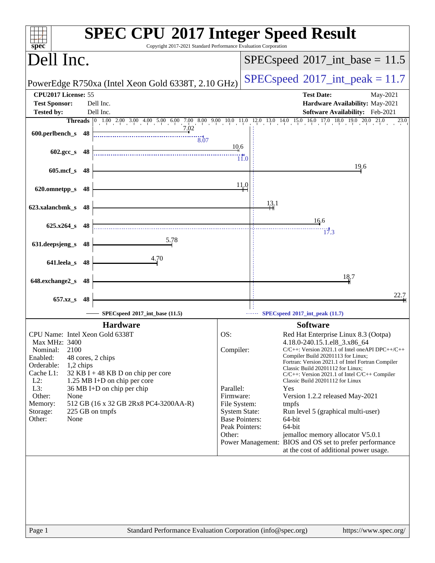| spec <sup>®</sup>                                                                                                                                                                                                                                                                                                                                                                                              | <b>SPEC CPU®2017 Integer Speed Result</b><br>Copyright 2017-2021 Standard Performance Evaluation Corporation                                                                                                                                                                                                                                                                                                                                                                                                                                                                                                                                                                                                                                                         |
|----------------------------------------------------------------------------------------------------------------------------------------------------------------------------------------------------------------------------------------------------------------------------------------------------------------------------------------------------------------------------------------------------------------|----------------------------------------------------------------------------------------------------------------------------------------------------------------------------------------------------------------------------------------------------------------------------------------------------------------------------------------------------------------------------------------------------------------------------------------------------------------------------------------------------------------------------------------------------------------------------------------------------------------------------------------------------------------------------------------------------------------------------------------------------------------------|
| Dell Inc.                                                                                                                                                                                                                                                                                                                                                                                                      | $SPEC speed^{\circ}2017\_int\_base = 11.5$                                                                                                                                                                                                                                                                                                                                                                                                                                                                                                                                                                                                                                                                                                                           |
| PowerEdge R750xa (Intel Xeon Gold 6338T, 2.10 GHz)                                                                                                                                                                                                                                                                                                                                                             | $SPEC speed^{\circ}2017\_int\_peak = 11.7$                                                                                                                                                                                                                                                                                                                                                                                                                                                                                                                                                                                                                                                                                                                           |
| CPU2017 License: 55<br><b>Test Sponsor:</b><br>Dell Inc.                                                                                                                                                                                                                                                                                                                                                       | <b>Test Date:</b><br>May-2021<br>Hardware Availability: May-2021                                                                                                                                                                                                                                                                                                                                                                                                                                                                                                                                                                                                                                                                                                     |
| <b>Tested by:</b><br>Dell Inc.                                                                                                                                                                                                                                                                                                                                                                                 | Software Availability: Feb-2021                                                                                                                                                                                                                                                                                                                                                                                                                                                                                                                                                                                                                                                                                                                                      |
| 7.02<br>600.perlbench_s 48<br>$\frac{1}{8.07}$                                                                                                                                                                                                                                                                                                                                                                 | Threads 0 1.00 2.00 3.00 4.00 5.00 6.00 7.00 8.00 9.00 10.0 11.0 12.0 13.0 14.0 15.0 16.0 17.0 18.0 19.0 20.0 21.0<br>23.0                                                                                                                                                                                                                                                                                                                                                                                                                                                                                                                                                                                                                                           |
| $602.\text{gcc s}$<br>- 48                                                                                                                                                                                                                                                                                                                                                                                     | 10.6<br>$\overline{11}$ .0                                                                                                                                                                                                                                                                                                                                                                                                                                                                                                                                                                                                                                                                                                                                           |
| $605$ .mcf_s<br>- 48                                                                                                                                                                                                                                                                                                                                                                                           | 19.6                                                                                                                                                                                                                                                                                                                                                                                                                                                                                                                                                                                                                                                                                                                                                                 |
| 620.omnetpp_s<br>48                                                                                                                                                                                                                                                                                                                                                                                            | 11.0                                                                                                                                                                                                                                                                                                                                                                                                                                                                                                                                                                                                                                                                                                                                                                 |
| 623.xalancbmk_s<br>48                                                                                                                                                                                                                                                                                                                                                                                          | 13,1<br>16.6                                                                                                                                                                                                                                                                                                                                                                                                                                                                                                                                                                                                                                                                                                                                                         |
| $625.x264$ s<br>- 48                                                                                                                                                                                                                                                                                                                                                                                           | 17.3                                                                                                                                                                                                                                                                                                                                                                                                                                                                                                                                                                                                                                                                                                                                                                 |
| 5.78<br>631.deepsjeng_s<br>48                                                                                                                                                                                                                                                                                                                                                                                  |                                                                                                                                                                                                                                                                                                                                                                                                                                                                                                                                                                                                                                                                                                                                                                      |
| 4.70<br>641.leela_s<br>- 48                                                                                                                                                                                                                                                                                                                                                                                    | 18.7                                                                                                                                                                                                                                                                                                                                                                                                                                                                                                                                                                                                                                                                                                                                                                 |
| 648.exchange2_s<br>48                                                                                                                                                                                                                                                                                                                                                                                          |                                                                                                                                                                                                                                                                                                                                                                                                                                                                                                                                                                                                                                                                                                                                                                      |
| 657.xz_s<br>48<br>SPECspeed®2017_int_base (11.5)                                                                                                                                                                                                                                                                                                                                                               | 22.7                                                                                                                                                                                                                                                                                                                                                                                                                                                                                                                                                                                                                                                                                                                                                                 |
|                                                                                                                                                                                                                                                                                                                                                                                                                | SPECspeed <sup>®</sup> 2017_int_peak (11.7)                                                                                                                                                                                                                                                                                                                                                                                                                                                                                                                                                                                                                                                                                                                          |
| <b>Hardware</b><br>CPU Name: Intel Xeon Gold 6338T<br>Max MHz: 3400<br>2100<br>Nominal:<br>Enabled:<br>48 cores, 2 chips<br>Orderable:<br>1,2 chips<br>Cache L1:<br>$32$ KB I + 48 KB D on chip per core<br>$L2$ :<br>1.25 MB I+D on chip per core<br>L3:<br>36 MB I+D on chip per chip<br>Other:<br>None<br>512 GB (16 x 32 GB 2Rx8 PC4-3200AA-R)<br>Memory:<br>225 GB on tmpfs<br>Storage:<br>Other:<br>None | <b>Software</b><br>OS:<br>Red Hat Enterprise Linux 8.3 (Ootpa)<br>4.18.0-240.15.1.el8_3.x86_64<br>Compiler:<br>$C/C++$ : Version 2021.1 of Intel one API DPC++/C++<br>Compiler Build 20201113 for Linux;<br>Fortran: Version 2021.1 of Intel Fortran Compiler<br>Classic Build 20201112 for Linux;<br>C/C++: Version 2021.1 of Intel C/C++ Compiler<br>Classic Build 20201112 for Linux<br>Parallel:<br>Yes<br>Firmware:<br>Version 1.2.2 released May-2021<br>File System:<br>tmpfs<br><b>System State:</b><br>Run level 5 (graphical multi-user)<br><b>Base Pointers:</b><br>64-bit<br>Peak Pointers:<br>64-bit<br>Other:<br>jemalloc memory allocator V5.0.1<br>Power Management: BIOS and OS set to prefer performance<br>at the cost of additional power usage. |
| Page 1                                                                                                                                                                                                                                                                                                                                                                                                         | Standard Performance Evaluation Corporation (info@spec.org)<br>https://www.spec.org/                                                                                                                                                                                                                                                                                                                                                                                                                                                                                                                                                                                                                                                                                 |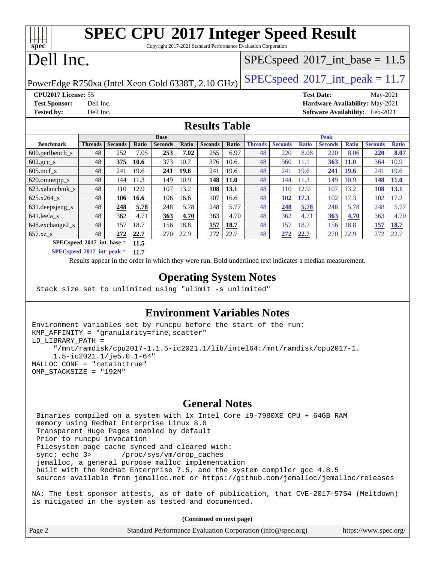| <b>SPEC CPU®2017 Integer Speed Result</b>                                                                |                                              |                |              |                               |                                            |                |              |                |                |              |                               |              |                |              |
|----------------------------------------------------------------------------------------------------------|----------------------------------------------|----------------|--------------|-------------------------------|--------------------------------------------|----------------|--------------|----------------|----------------|--------------|-------------------------------|--------------|----------------|--------------|
| spec<br>Copyright 2017-2021 Standard Performance Evaluation Corporation                                  |                                              |                |              |                               |                                            |                |              |                |                |              |                               |              |                |              |
| Dell Inc.                                                                                                |                                              |                |              |                               | $SPEC speed^{\circ}2017\_int\_base = 11.5$ |                |              |                |                |              |                               |              |                |              |
| $SPEC speed$ <sup>®</sup> $2017$ _int_peak = 11.7<br>PowerEdge R750xa (Intel Xeon Gold 6338T, 2.10 GHz)  |                                              |                |              |                               |                                            |                |              |                |                |              |                               |              |                |              |
| CPU2017 License: 55<br><b>Test Date:</b><br>May-2021                                                     |                                              |                |              |                               |                                            |                |              |                |                |              |                               |              |                |              |
| Hardware Availability: May-2021<br><b>Test Sponsor:</b><br>Dell Inc.                                     |                                              |                |              |                               |                                            |                |              |                |                |              |                               |              |                |              |
| <b>Tested by:</b>                                                                                        | Software Availability: Feb-2021<br>Dell Inc. |                |              |                               |                                            |                |              |                |                |              |                               |              |                |              |
| <b>Results Table</b>                                                                                     |                                              |                |              |                               |                                            |                |              |                |                |              |                               |              |                |              |
|                                                                                                          |                                              |                |              |                               |                                            |                |              |                |                |              |                               |              |                |              |
| <b>Benchmark</b>                                                                                         | <b>Threads</b>                               | <b>Seconds</b> | <b>Ratio</b> | <b>Base</b><br><b>Seconds</b> | Ratio                                      | <b>Seconds</b> | <b>Ratio</b> | <b>Threads</b> | <b>Seconds</b> | <b>Ratio</b> | <b>Peak</b><br><b>Seconds</b> | <b>Ratio</b> | <b>Seconds</b> | <b>Ratio</b> |
| 600.perlbench_s                                                                                          | 48                                           | 252            | 7.05         | 253                           | 7.02                                       | 255            | 6.97         | 48             | 220            | 8.08         | 220                           | 8.06         | 220            | 8.07         |
| $602.\text{gcc}\s$                                                                                       | 48                                           | 375            | 10.6         | 373                           | 10.7                                       | 376            | 10.6         | 48             | 360            | 11.1         | 363                           | <b>11.0</b>  | 364            | 10.9         |
| $605$ .mcf s                                                                                             | 48                                           | 241            | 19.6         | 241                           | 19.6                                       | 241            | 19.6         | 48             | 241            | 19.6         | 241                           | <b>19.6</b>  | 241            | 19.6         |
| 620.omnetpp_s                                                                                            | 48                                           | 144            | 11.3         | 149                           | 10.9                                       | 148            | <b>11.0</b>  | 48             | 144            | 11.3         | 149                           | 10.9         | 148            | <b>11.0</b>  |
| 623.xalancbmk s                                                                                          | 48                                           | 110            | 12.9         | 107                           | 13.2                                       | 108            | 13.1         | 48             | 110            | 12.9         | 107                           | 13.2         | <b>108</b>     | 13.1         |
| 625.x264_s                                                                                               | 48                                           | 106            | 16.6         | 106                           | 16.6                                       | 107            | 16.6         | 48             | <b>102</b>     | 17.3         | 102                           | 17.3         | 102            | 17.2         |
| 631.deepsjeng_s                                                                                          | 48                                           | 248            | 5.78         | 248                           | 5.78                                       | 248            | 5.77         | 48             | 248            | 5.78         | 248                           | 5.78         | 248            | 5.77         |
| 641.leela_s                                                                                              | 48                                           | 362            | 4.71         | 363                           | 4.70                                       | 363            | 4.70         | 48             | 362            | 4.71         | 363                           | 4.70         | 363            | 4.70         |
| 648.exchange2_s                                                                                          | 48                                           | 157            | 18.7         | 156                           | 18.8                                       | 157            | 18.7         | 48             | 157            | 18.7         | 156                           | 18.8         | 157            | 18.7         |
| 657.xz_s                                                                                                 | 48                                           | 272            | 22.7         | 270                           | 22.9                                       | 272            | 22.7         | 48             | 272            | 22.7         | 270                           | 22.9         | 272            | 22.7         |
| $SPECspeed*2017$ int base =                                                                              |                                              |                | 11.5         |                               |                                            |                |              |                |                |              |                               |              |                |              |
| $SPECspeed*2017\_int\_peak =$<br>11.7                                                                    |                                              |                |              |                               |                                            |                |              |                |                |              |                               |              |                |              |
| Results appear in the order in which they were run. Bold underlined text indicates a median measurement. |                                              |                |              |                               |                                            |                |              |                |                |              |                               |              |                |              |
| <b>Operating System Notes</b>                                                                            |                                              |                |              |                               |                                            |                |              |                |                |              |                               |              |                |              |

Stack size set to unlimited using "ulimit -s unlimited"

#### **[Environment Variables Notes](http://www.spec.org/auto/cpu2017/Docs/result-fields.html#EnvironmentVariablesNotes)**

```
Environment variables set by runcpu before the start of the run:
KMP_AFFINITY = "granularity=fine,scatter"
LD_LIBRARY_PATH =
      "/mnt/ramdisk/cpu2017-1.1.5-ic2021.1/lib/intel64:/mnt/ramdisk/cpu2017-1.
      1.5-ic2021.1/je5.0.1-64"
MALLOC_CONF = "retain:true"
OMP_STACKSIZE = "192M"
```
#### **[General Notes](http://www.spec.org/auto/cpu2017/Docs/result-fields.html#GeneralNotes)**

 Binaries compiled on a system with 1x Intel Core i9-7980XE CPU + 64GB RAM memory using Redhat Enterprise Linux 8.0 Transparent Huge Pages enabled by default Prior to runcpu invocation Filesystem page cache synced and cleared with: sync; echo 3> /proc/sys/vm/drop\_caches jemalloc, a general purpose malloc implementation built with the RedHat Enterprise 7.5, and the system compiler gcc 4.8.5 sources available from jemalloc.net or <https://github.com/jemalloc/jemalloc/releases>

NA: The test sponsor attests, as of date of publication, that CVE-2017-5754 (Meltdown) is mitigated in the system as tested and documented.

**(Continued on next page)**

| Page 2 | Standard Performance Evaluation Corporation (info@spec.org) | https://www.spec.org/ |
|--------|-------------------------------------------------------------|-----------------------|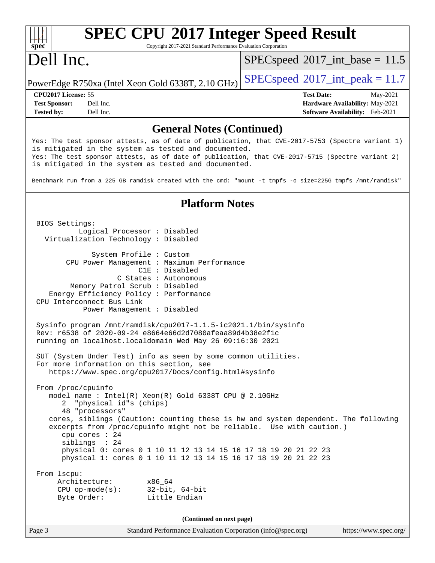#### **[SPEC CPU](http://www.spec.org/auto/cpu2017/Docs/result-fields.html#SPECCPU2017IntegerSpeedResult)[2017 Integer Speed Result](http://www.spec.org/auto/cpu2017/Docs/result-fields.html#SPECCPU2017IntegerSpeedResult)** Copyright 2017-2021 Standard Performance Evaluation Corporation

# Dell Inc.

**[spec](http://www.spec.org/)**

 $SPECspeed^{\circ}2017\_int\_base = 11.5$  $SPECspeed^{\circ}2017\_int\_base = 11.5$ 

PowerEdge R750xa (Intel Xeon Gold 6338T, 2.10 GHz)  $\left|$  [SPECspeed](http://www.spec.org/auto/cpu2017/Docs/result-fields.html#SPECspeed2017intpeak)®[2017\\_int\\_peak = 1](http://www.spec.org/auto/cpu2017/Docs/result-fields.html#SPECspeed2017intpeak)1.7

**[Tested by:](http://www.spec.org/auto/cpu2017/Docs/result-fields.html#Testedby)** Dell Inc. **[Software Availability:](http://www.spec.org/auto/cpu2017/Docs/result-fields.html#SoftwareAvailability)** Feb-2021

**[CPU2017 License:](http://www.spec.org/auto/cpu2017/Docs/result-fields.html#CPU2017License)** 55 **[Test Date:](http://www.spec.org/auto/cpu2017/Docs/result-fields.html#TestDate)** May-2021 **[Test Sponsor:](http://www.spec.org/auto/cpu2017/Docs/result-fields.html#TestSponsor)** Dell Inc. **[Hardware Availability:](http://www.spec.org/auto/cpu2017/Docs/result-fields.html#HardwareAvailability)** May-2021

#### **[General Notes \(Continued\)](http://www.spec.org/auto/cpu2017/Docs/result-fields.html#GeneralNotes)**

Yes: The test sponsor attests, as of date of publication, that CVE-2017-5753 (Spectre variant 1) is mitigated in the system as tested and documented. Yes: The test sponsor attests, as of date of publication, that CVE-2017-5715 (Spectre variant 2) is mitigated in the system as tested and documented.

Benchmark run from a 225 GB ramdisk created with the cmd: "mount -t tmpfs -o size=225G tmpfs /mnt/ramdisk"

#### **[Platform Notes](http://www.spec.org/auto/cpu2017/Docs/result-fields.html#PlatformNotes)**

 BIOS Settings: Logical Processor : Disabled Virtualization Technology : Disabled System Profile : Custom CPU Power Management : Maximum Performance C1E : Disabled C States : Autonomous Memory Patrol Scrub : Disabled Energy Efficiency Policy : Performance CPU Interconnect Bus Link Power Management : Disabled Sysinfo program /mnt/ramdisk/cpu2017-1.1.5-ic2021.1/bin/sysinfo Rev: r6538 of 2020-09-24 e8664e66d2d7080afeaa89d4b38e2f1c running on localhost.localdomain Wed May 26 09:16:30 2021 SUT (System Under Test) info as seen by some common utilities. For more information on this section, see <https://www.spec.org/cpu2017/Docs/config.html#sysinfo> From /proc/cpuinfo model name : Intel(R) Xeon(R) Gold 6338T CPU @ 2.10GHz 2 "physical id"s (chips) 48 "processors" cores, siblings (Caution: counting these is hw and system dependent. The following excerpts from /proc/cpuinfo might not be reliable. Use with caution.) cpu cores : 24 siblings : 24 physical 0: cores 0 1 10 11 12 13 14 15 16 17 18 19 20 21 22 23 physical 1: cores 0 1 10 11 12 13 14 15 16 17 18 19 20 21 22 23 From lscpu: Architecture: x86\_64 CPU op-mode(s): 32-bit, 64-bit Byte Order: Little Endian **(Continued on next page)**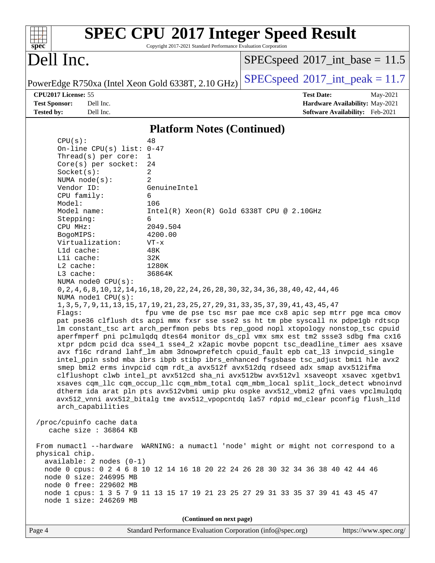| spec <sup>®</sup>                                                                                                                                                    | Copyright 2017-2021 Standard Performance Evaluation Corporation                           | <b>SPEC CPU®2017 Integer Speed Result</b>                                                                                                                                  |  |  |
|----------------------------------------------------------------------------------------------------------------------------------------------------------------------|-------------------------------------------------------------------------------------------|----------------------------------------------------------------------------------------------------------------------------------------------------------------------------|--|--|
| Dell Inc.                                                                                                                                                            |                                                                                           | $SPEC speed^{\circ}2017\_int\_base = 11.5$                                                                                                                                 |  |  |
|                                                                                                                                                                      | PowerEdge R750xa (Intel Xeon Gold 6338T, 2.10 GHz)                                        | $SPEC speed^{\circ}2017\_int\_peak = 11.7$                                                                                                                                 |  |  |
| CPU2017 License: 55                                                                                                                                                  |                                                                                           | <b>Test Date:</b><br>May-2021                                                                                                                                              |  |  |
| <b>Test Sponsor:</b><br>Dell Inc.                                                                                                                                    |                                                                                           | Hardware Availability: May-2021                                                                                                                                            |  |  |
| <b>Tested by:</b><br>Dell Inc.                                                                                                                                       |                                                                                           | Software Availability: Feb-2021                                                                                                                                            |  |  |
|                                                                                                                                                                      | <b>Platform Notes (Continued)</b>                                                         |                                                                                                                                                                            |  |  |
| CPU(s):                                                                                                                                                              | 48                                                                                        |                                                                                                                                                                            |  |  |
| On-line CPU(s) list: $0-47$                                                                                                                                          |                                                                                           |                                                                                                                                                                            |  |  |
| Thread(s) per core:                                                                                                                                                  | 1                                                                                         |                                                                                                                                                                            |  |  |
| Core(s) per socket:                                                                                                                                                  | 24<br>2                                                                                   |                                                                                                                                                                            |  |  |
| Socket(s):<br>NUMA $node(s)$ :                                                                                                                                       | 2                                                                                         |                                                                                                                                                                            |  |  |
| Vendor ID:                                                                                                                                                           | GenuineIntel                                                                              |                                                                                                                                                                            |  |  |
| CPU family:                                                                                                                                                          | 6                                                                                         |                                                                                                                                                                            |  |  |
| Model:                                                                                                                                                               | 106                                                                                       |                                                                                                                                                                            |  |  |
| Model name:<br>Stepping:                                                                                                                                             | $Intel(R) Xeon(R) Gold 6338T CPU @ 2.10GHz$<br>6                                          |                                                                                                                                                                            |  |  |
| CPU MHz:                                                                                                                                                             | 2049.504                                                                                  |                                                                                                                                                                            |  |  |
| BogoMIPS:                                                                                                                                                            | 4200.00                                                                                   |                                                                                                                                                                            |  |  |
| Virtualization:                                                                                                                                                      | $VT - x$                                                                                  |                                                                                                                                                                            |  |  |
| L1d cache:<br>Lli cache:                                                                                                                                             | 48K<br>32K                                                                                |                                                                                                                                                                            |  |  |
| L2 cache:                                                                                                                                                            | 1280K                                                                                     |                                                                                                                                                                            |  |  |
| L3 cache:                                                                                                                                                            | 36864K                                                                                    |                                                                                                                                                                            |  |  |
| NUMA node0 CPU(s):                                                                                                                                                   |                                                                                           |                                                                                                                                                                            |  |  |
|                                                                                                                                                                      | 0, 2, 4, 6, 8, 10, 12, 14, 16, 18, 20, 22, 24, 26, 28, 30, 32, 34, 36, 38, 40, 42, 44, 46 |                                                                                                                                                                            |  |  |
| NUMA nodel CPU(s):                                                                                                                                                   | 1, 3, 5, 7, 9, 11, 13, 15, 17, 19, 21, 23, 25, 27, 29, 31, 33, 35, 37, 39, 41, 43, 45, 47 |                                                                                                                                                                            |  |  |
| Flags:                                                                                                                                                               |                                                                                           | fpu vme de pse tsc msr pae mce cx8 apic sep mtrr pge mca cmov                                                                                                              |  |  |
|                                                                                                                                                                      |                                                                                           | pat pse36 clflush dts acpi mmx fxsr sse sse2 ss ht tm pbe syscall nx pdpelgb rdtscp                                                                                        |  |  |
|                                                                                                                                                                      |                                                                                           | lm constant_tsc art arch_perfmon pebs bts rep_good nopl xtopology nonstop_tsc cpuid                                                                                        |  |  |
|                                                                                                                                                                      |                                                                                           | aperfmperf pni pclmulqdq dtes64 monitor ds_cpl vmx smx est tm2 ssse3 sdbg fma cx16                                                                                         |  |  |
| xtpr pdcm pcid dca sse4_1 sse4_2 x2apic movbe popcnt tsc_deadline_timer aes xsave<br>avx f16c rdrand lahf_lm abm 3dnowprefetch cpuid_fault epb cat_13 invpcid_single |                                                                                           |                                                                                                                                                                            |  |  |
| intel_ppin ssbd mba ibrs ibpb stibp ibrs_enhanced fsgsbase tsc_adjust bmil hle avx2                                                                                  |                                                                                           |                                                                                                                                                                            |  |  |
| smep bmi2 erms invpcid cqm rdt_a avx512f avx512dq rdseed adx smap avx512ifma                                                                                         |                                                                                           |                                                                                                                                                                            |  |  |
|                                                                                                                                                                      |                                                                                           | clflushopt clwb intel_pt avx512cd sha_ni avx512bw avx512vl xsaveopt xsavec xgetbvl                                                                                         |  |  |
|                                                                                                                                                                      |                                                                                           | xsaves cqm_llc cqm_occup_llc cqm_mbm_total cqm_mbm_local split_lock_detect wbnoinvd<br>dtherm ida arat pln pts avx512vbmi umip pku ospke avx512_vbmi2 gfni vaes vpclmulqdq |  |  |
|                                                                                                                                                                      |                                                                                           | avx512_vnni avx512_bitalg tme avx512_vpopcntdq la57 rdpid md_clear pconfig flush_l1d                                                                                       |  |  |
| arch_capabilities                                                                                                                                                    |                                                                                           |                                                                                                                                                                            |  |  |
| /proc/cpuinfo cache data<br>cache size : 36864 KB                                                                                                                    |                                                                                           |                                                                                                                                                                            |  |  |
|                                                                                                                                                                      |                                                                                           |                                                                                                                                                                            |  |  |
|                                                                                                                                                                      |                                                                                           | From numactl --hardware WARNING: a numactl 'node' might or might not correspond to a                                                                                       |  |  |
| physical chip.<br>$available: 2 nodes (0-1)$                                                                                                                         |                                                                                           |                                                                                                                                                                            |  |  |
|                                                                                                                                                                      |                                                                                           | node 0 cpus: 0 2 4 6 8 10 12 14 16 18 20 22 24 26 28 30 32 34 36 38 40 42 44 46                                                                                            |  |  |
| node 0 size: 246995 MB                                                                                                                                               |                                                                                           |                                                                                                                                                                            |  |  |
| node 0 free: 229602 MB                                                                                                                                               |                                                                                           |                                                                                                                                                                            |  |  |
| node 1 size: 246269 MB                                                                                                                                               |                                                                                           | node 1 cpus: 1 3 5 7 9 11 13 15 17 19 21 23 25 27 29 31 33 35 37 39 41 43 45 47                                                                                            |  |  |
|                                                                                                                                                                      |                                                                                           |                                                                                                                                                                            |  |  |
|                                                                                                                                                                      | (Continued on next page)                                                                  |                                                                                                                                                                            |  |  |

| Page 4 | Standard Performance Evaluation Corporation (info@spec.org) | https://www.spec.org/ |
|--------|-------------------------------------------------------------|-----------------------|
|        |                                                             |                       |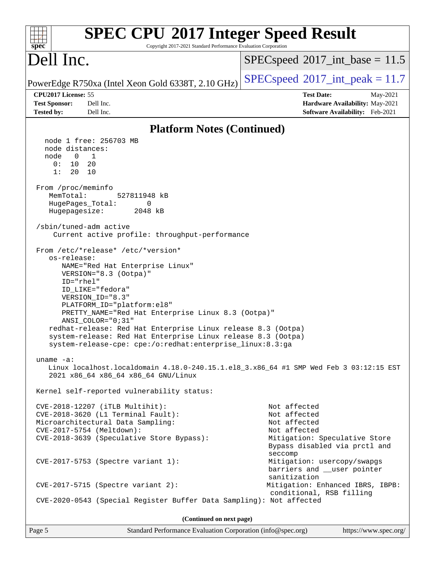| <b>SPEC CPU®2017 Integer Speed Result</b><br>Copyright 2017-2021 Standard Performance Evaluation Corporation<br>spec <sup>®</sup>                                                                                                                                                                                                                                                                                                                                                                                                                                                                                                                                                                                                                                                                                                                                                                                                                                                                                                                                                                                                                                                                         |                                                                                                                        |
|-----------------------------------------------------------------------------------------------------------------------------------------------------------------------------------------------------------------------------------------------------------------------------------------------------------------------------------------------------------------------------------------------------------------------------------------------------------------------------------------------------------------------------------------------------------------------------------------------------------------------------------------------------------------------------------------------------------------------------------------------------------------------------------------------------------------------------------------------------------------------------------------------------------------------------------------------------------------------------------------------------------------------------------------------------------------------------------------------------------------------------------------------------------------------------------------------------------|------------------------------------------------------------------------------------------------------------------------|
| Dell Inc.                                                                                                                                                                                                                                                                                                                                                                                                                                                                                                                                                                                                                                                                                                                                                                                                                                                                                                                                                                                                                                                                                                                                                                                                 | $SPEC speed^{\circ}2017\_int\_base = 11.5$                                                                             |
| PowerEdge R750xa (Intel Xeon Gold 6338T, 2.10 GHz)                                                                                                                                                                                                                                                                                                                                                                                                                                                                                                                                                                                                                                                                                                                                                                                                                                                                                                                                                                                                                                                                                                                                                        | $SPEC speed^{\circ}2017\_int\_peak = 11.7$                                                                             |
| CPU2017 License: 55<br><b>Test Sponsor:</b><br>Dell Inc.<br><b>Tested by:</b><br>Dell Inc.                                                                                                                                                                                                                                                                                                                                                                                                                                                                                                                                                                                                                                                                                                                                                                                                                                                                                                                                                                                                                                                                                                                | <b>Test Date:</b><br>May-2021<br>Hardware Availability: May-2021<br>Software Availability: Feb-2021                    |
|                                                                                                                                                                                                                                                                                                                                                                                                                                                                                                                                                                                                                                                                                                                                                                                                                                                                                                                                                                                                                                                                                                                                                                                                           |                                                                                                                        |
| <b>Platform Notes (Continued)</b><br>node 1 free: 256703 MB<br>node distances:<br>$\overline{0}$<br>node<br>1<br>0 :<br>10<br>20<br>1:<br>20<br>10<br>From /proc/meminfo<br>MemTotal:<br>527811948 kB<br>HugePages_Total:<br>0<br>Hugepagesize:<br>2048 kB<br>/sbin/tuned-adm active<br>Current active profile: throughput-performance<br>From /etc/*release* /etc/*version*<br>os-release:<br>NAME="Red Hat Enterprise Linux"<br>VERSION="8.3 (Ootpa)"<br>ID="rhel"<br>ID_LIKE="fedora"<br>VERSION_ID="8.3"<br>PLATFORM_ID="platform:el8"<br>PRETTY_NAME="Red Hat Enterprise Linux 8.3 (Ootpa)"<br>ANSI_COLOR="0;31"<br>redhat-release: Red Hat Enterprise Linux release 8.3 (Ootpa)<br>system-release: Red Hat Enterprise Linux release 8.3 (Ootpa)<br>system-release-cpe: cpe:/o:redhat:enterprise_linux:8.3:ga<br>$uname -a$ :<br>Linux localhost.localdomain 4.18.0-240.15.1.el8_3.x86_64 #1 SMP Wed Feb 3 03:12:15 EST<br>2021 x86_64 x86_64 x86_64 GNU/Linux<br>Kernel self-reported vulnerability status:<br>CVE-2018-12207 (iTLB Multihit):<br>CVE-2018-3620 (L1 Terminal Fault):<br>Microarchitectural Data Sampling:<br>CVE-2017-5754 (Meltdown):<br>CVE-2018-3639 (Speculative Store Bypass): | Not affected<br>Not affected<br>Not affected<br>Not affected<br>Mitigation: Speculative Store                          |
| CVE-2017-5753 (Spectre variant 1):                                                                                                                                                                                                                                                                                                                                                                                                                                                                                                                                                                                                                                                                                                                                                                                                                                                                                                                                                                                                                                                                                                                                                                        | Bypass disabled via prctl and<br>seccomp<br>Mitigation: usercopy/swapgs<br>barriers and __user pointer<br>sanitization |
| $CVE-2017-5715$ (Spectre variant 2):                                                                                                                                                                                                                                                                                                                                                                                                                                                                                                                                                                                                                                                                                                                                                                                                                                                                                                                                                                                                                                                                                                                                                                      | Mitigation: Enhanced IBRS, IBPB:<br>conditional, RSB filling                                                           |
| CVE-2020-0543 (Special Register Buffer Data Sampling): Not affected                                                                                                                                                                                                                                                                                                                                                                                                                                                                                                                                                                                                                                                                                                                                                                                                                                                                                                                                                                                                                                                                                                                                       |                                                                                                                        |
| (Continued on next page)<br>Standard Performance Evaluation Corporation (info@spec.org)<br>Page 5                                                                                                                                                                                                                                                                                                                                                                                                                                                                                                                                                                                                                                                                                                                                                                                                                                                                                                                                                                                                                                                                                                         | https://www.spec.org/                                                                                                  |
|                                                                                                                                                                                                                                                                                                                                                                                                                                                                                                                                                                                                                                                                                                                                                                                                                                                                                                                                                                                                                                                                                                                                                                                                           |                                                                                                                        |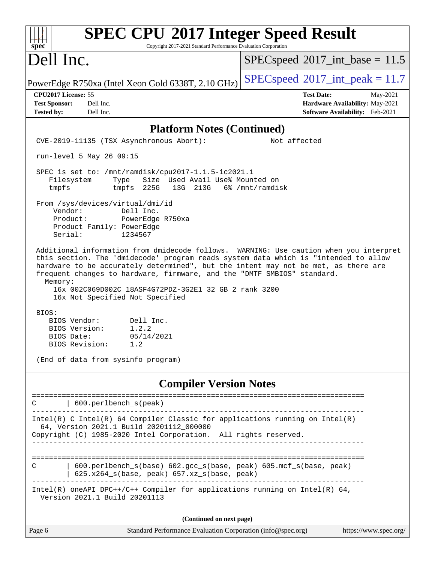| <b>SPEC CPU®2017 Integer Speed Result</b><br>Copyright 2017-2021 Standard Performance Evaluation Corporation<br>spec <sup>®</sup>                                                                                                                                                                                                                                                                                                                     |                                                                                                     |  |  |  |
|-------------------------------------------------------------------------------------------------------------------------------------------------------------------------------------------------------------------------------------------------------------------------------------------------------------------------------------------------------------------------------------------------------------------------------------------------------|-----------------------------------------------------------------------------------------------------|--|--|--|
| Dell Inc.                                                                                                                                                                                                                                                                                                                                                                                                                                             | $SPEC speed^{\circ}2017\_int\_base = 11.5$                                                          |  |  |  |
| PowerEdge R750xa (Intel Xeon Gold 6338T, 2.10 GHz)                                                                                                                                                                                                                                                                                                                                                                                                    | $SPEC speed^{\circ}2017\_int\_peak = 11.7$                                                          |  |  |  |
| CPU2017 License: 55<br><b>Test Sponsor:</b><br>Dell Inc.<br>Dell Inc.<br><b>Tested by:</b>                                                                                                                                                                                                                                                                                                                                                            | <b>Test Date:</b><br>May-2021<br>Hardware Availability: May-2021<br>Software Availability: Feb-2021 |  |  |  |
| <b>Platform Notes (Continued)</b>                                                                                                                                                                                                                                                                                                                                                                                                                     |                                                                                                     |  |  |  |
| CVE-2019-11135 (TSX Asynchronous Abort):                                                                                                                                                                                                                                                                                                                                                                                                              | Not affected                                                                                        |  |  |  |
| run-level 5 May 26 09:15                                                                                                                                                                                                                                                                                                                                                                                                                              |                                                                                                     |  |  |  |
| SPEC is set to: /mnt/ramdisk/cpu2017-1.1.5-ic2021.1<br>Size Used Avail Use% Mounted on<br>Filesystem<br>Type<br>tmpfs 225G<br>13G 213G<br>tmpfs                                                                                                                                                                                                                                                                                                       | 6% /mnt/ramdisk                                                                                     |  |  |  |
| From /sys/devices/virtual/dmi/id<br>Vendor:<br>Dell Inc.<br>Product:<br>PowerEdge R750xa<br>Product Family: PowerEdge<br>Serial:<br>1234567                                                                                                                                                                                                                                                                                                           |                                                                                                     |  |  |  |
| Additional information from dmidecode follows. WARNING: Use caution when you interpret<br>this section. The 'dmidecode' program reads system data which is "intended to allow<br>hardware to be accurately determined", but the intent may not be met, as there are<br>frequent changes to hardware, firmware, and the "DMTF SMBIOS" standard.<br>Memory:<br>16x 002C069D002C 18ASF4G72PDZ-3G2E1 32 GB 2 rank 3200<br>16x Not Specified Not Specified |                                                                                                     |  |  |  |
| BIOS:<br>Dell Inc.<br>BIOS Vendor:<br>1.2.2<br>BIOS Version:<br>05/14/2021<br>BIOS Date:<br>BIOS Revision:<br>1.2                                                                                                                                                                                                                                                                                                                                     |                                                                                                     |  |  |  |
| (End of data from sysinfo program)                                                                                                                                                                                                                                                                                                                                                                                                                    |                                                                                                     |  |  |  |
| <b>Compiler Version Notes</b>                                                                                                                                                                                                                                                                                                                                                                                                                         |                                                                                                     |  |  |  |
| 600.perlbench_s(peak)                                                                                                                                                                                                                                                                                                                                                                                                                                 |                                                                                                     |  |  |  |
| Intel(R) C Intel(R) 64 Compiler Classic for applications running on Intel(R)<br>64, Version 2021.1 Build 20201112_000000<br>Copyright (C) 1985-2020 Intel Corporation. All rights reserved.                                                                                                                                                                                                                                                           |                                                                                                     |  |  |  |
| 600.perlbench_s(base) 602.gcc_s(base, peak) 605.mcf_s(base, peak)<br>С<br>625.x264_s(base, peak) 657.xz_s(base, peak)                                                                                                                                                                                                                                                                                                                                 |                                                                                                     |  |  |  |
| Intel(R) oneAPI DPC++/C++ Compiler for applications running on Intel(R) $64$ ,<br>Version 2021.1 Build 20201113                                                                                                                                                                                                                                                                                                                                       |                                                                                                     |  |  |  |
| (Continued on next page)                                                                                                                                                                                                                                                                                                                                                                                                                              |                                                                                                     |  |  |  |
| Standard Performance Evaluation Corporation (info@spec.org)<br>Page 6                                                                                                                                                                                                                                                                                                                                                                                 | https://www.spec.org/                                                                               |  |  |  |
|                                                                                                                                                                                                                                                                                                                                                                                                                                                       |                                                                                                     |  |  |  |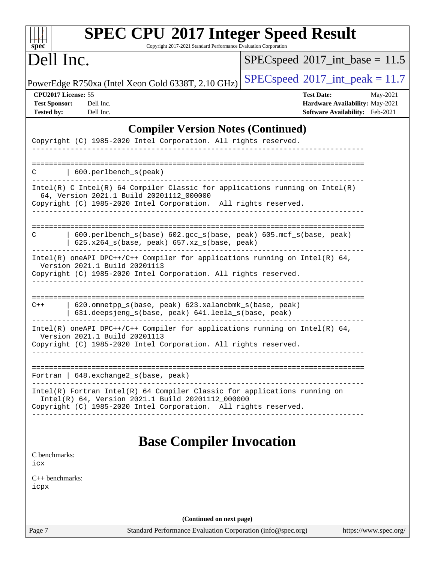| <b>SPEC CPU®2017 Integer Speed Result</b><br>Copyright 2017-2021 Standard Performance Evaluation Corporation                                                                                      |                                                                                                                      |  |  |  |  |
|---------------------------------------------------------------------------------------------------------------------------------------------------------------------------------------------------|----------------------------------------------------------------------------------------------------------------------|--|--|--|--|
| $spec^*$<br>Dell Inc.                                                                                                                                                                             | $SPEC speed^{\circ}2017\_int\_base = 11.5$                                                                           |  |  |  |  |
| PowerEdge R750xa (Intel Xeon Gold 6338T, 2.10 GHz)                                                                                                                                                | $SPEC speed^{\circ}2017\_int\_peak = 11.7$                                                                           |  |  |  |  |
| CPU2017 License: 55<br><b>Test Sponsor:</b><br>Dell Inc.<br><b>Tested by:</b><br>Dell Inc.                                                                                                        | <b>Test Date:</b><br>May-2021<br>Hardware Availability: May-2021<br>Software Availability: Feb-2021                  |  |  |  |  |
| <b>Compiler Version Notes (Continued)</b>                                                                                                                                                         |                                                                                                                      |  |  |  |  |
| Copyright (C) 1985-2020 Intel Corporation. All rights reserved.                                                                                                                                   |                                                                                                                      |  |  |  |  |
| 600.perlbench_s(peak)<br>С                                                                                                                                                                        |                                                                                                                      |  |  |  |  |
| $Intel(R)$ C Intel(R) 64 Compiler Classic for applications running on $Intel(R)$<br>64, Version 2021.1 Build 20201112_000000<br>Copyright (C) 1985-2020 Intel Corporation. All rights reserved.   |                                                                                                                      |  |  |  |  |
| C                                                                                                                                                                                                 | 600.perlbench_s(base) 602.gcc_s(base, peak) 605.mcf_s(base, peak)<br>$625.x264_s(base, peak)$ $657.xz_s(base, peak)$ |  |  |  |  |
| Intel(R) oneAPI DPC++/C++ Compiler for applications running on Intel(R) $64$ ,<br>Version 2021.1 Build 20201113<br>Copyright (C) 1985-2020 Intel Corporation. All rights reserved.                |                                                                                                                      |  |  |  |  |
| 620.omnetpp_s(base, peak) 623.xalancbmk_s(base, peak)<br>$C++$<br>631.deepsjeng_s(base, peak) 641.leela_s(base, peak)                                                                             |                                                                                                                      |  |  |  |  |
| Intel(R) oneAPI DPC++/C++ Compiler for applications running on Intel(R) $64$ ,<br>Version 2021.1 Build 20201113<br>Copyright (C) 1985-2020 Intel Corporation. All rights reserved.                |                                                                                                                      |  |  |  |  |
| Fortran   648. exchange2_s(base, peak)                                                                                                                                                            |                                                                                                                      |  |  |  |  |
| Intel(R) Fortran Intel(R) 64 Compiler Classic for applications running on<br>Intel(R) 64, Version 2021.1 Build 20201112_000000<br>Copyright (C) 1985-2020 Intel Corporation. All rights reserved. |                                                                                                                      |  |  |  |  |
| <b>Base Compiler Invocation</b><br>C benchmarks:<br>icx                                                                                                                                           |                                                                                                                      |  |  |  |  |
| $C_{++}$ benchmarks:<br>icpx                                                                                                                                                                      |                                                                                                                      |  |  |  |  |
| (Continued on next page)                                                                                                                                                                          |                                                                                                                      |  |  |  |  |
| Page 7<br>Standard Performance Evaluation Corporation (info@spec.org)                                                                                                                             | https://www.spec.org/                                                                                                |  |  |  |  |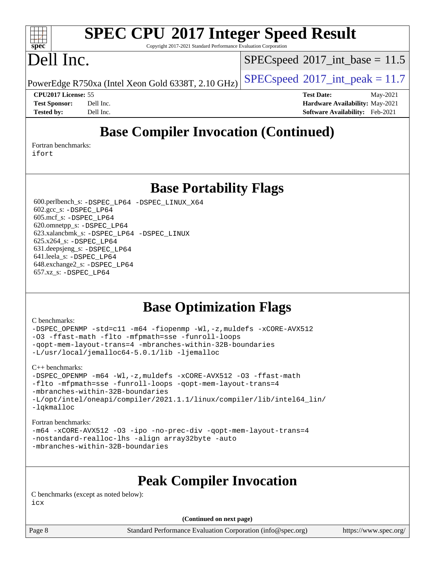# **[SPEC CPU](http://www.spec.org/auto/cpu2017/Docs/result-fields.html#SPECCPU2017IntegerSpeedResult)[2017 Integer Speed Result](http://www.spec.org/auto/cpu2017/Docs/result-fields.html#SPECCPU2017IntegerSpeedResult)**

Copyright 2017-2021 Standard Performance Evaluation Corporation

# Dell Inc.

**[spec](http://www.spec.org/)**

 $\pm t$ 

 $SPECspeed^{\circ}2017\_int\_base = 11.5$  $SPECspeed^{\circ}2017\_int\_base = 11.5$ 

PowerEdge R750xa (Intel Xeon Gold 6338T, 2.10 GHz)  $\left|$  [SPECspeed](http://www.spec.org/auto/cpu2017/Docs/result-fields.html#SPECspeed2017intpeak)®[2017\\_int\\_peak = 1](http://www.spec.org/auto/cpu2017/Docs/result-fields.html#SPECspeed2017intpeak)1.7

**[CPU2017 License:](http://www.spec.org/auto/cpu2017/Docs/result-fields.html#CPU2017License)** 55 **[Test Date:](http://www.spec.org/auto/cpu2017/Docs/result-fields.html#TestDate)** May-2021 **[Test Sponsor:](http://www.spec.org/auto/cpu2017/Docs/result-fields.html#TestSponsor)** Dell Inc. **[Hardware Availability:](http://www.spec.org/auto/cpu2017/Docs/result-fields.html#HardwareAvailability)** May-2021 **[Tested by:](http://www.spec.org/auto/cpu2017/Docs/result-fields.html#Testedby)** Dell Inc. **[Software Availability:](http://www.spec.org/auto/cpu2017/Docs/result-fields.html#SoftwareAvailability)** Feb-2021

## **[Base Compiler Invocation \(Continued\)](http://www.spec.org/auto/cpu2017/Docs/result-fields.html#BaseCompilerInvocation)**

[Fortran benchmarks](http://www.spec.org/auto/cpu2017/Docs/result-fields.html#Fortranbenchmarks): [ifort](http://www.spec.org/cpu2017/results/res2021q3/cpu2017-20210618-27200.flags.html#user_FCbase_intel_ifort_8111460550e3ca792625aed983ce982f94888b8b503583aa7ba2b8303487b4d8a21a13e7191a45c5fd58ff318f48f9492884d4413fa793fd88dd292cad7027ca)

**[Base Portability Flags](http://www.spec.org/auto/cpu2017/Docs/result-fields.html#BasePortabilityFlags)**

 600.perlbench\_s: [-DSPEC\\_LP64](http://www.spec.org/cpu2017/results/res2021q3/cpu2017-20210618-27200.flags.html#b600.perlbench_s_basePORTABILITY_DSPEC_LP64) [-DSPEC\\_LINUX\\_X64](http://www.spec.org/cpu2017/results/res2021q3/cpu2017-20210618-27200.flags.html#b600.perlbench_s_baseCPORTABILITY_DSPEC_LINUX_X64) 602.gcc\_s: [-DSPEC\\_LP64](http://www.spec.org/cpu2017/results/res2021q3/cpu2017-20210618-27200.flags.html#suite_basePORTABILITY602_gcc_s_DSPEC_LP64) 605.mcf\_s: [-DSPEC\\_LP64](http://www.spec.org/cpu2017/results/res2021q3/cpu2017-20210618-27200.flags.html#suite_basePORTABILITY605_mcf_s_DSPEC_LP64) 620.omnetpp\_s: [-DSPEC\\_LP64](http://www.spec.org/cpu2017/results/res2021q3/cpu2017-20210618-27200.flags.html#suite_basePORTABILITY620_omnetpp_s_DSPEC_LP64) 623.xalancbmk\_s: [-DSPEC\\_LP64](http://www.spec.org/cpu2017/results/res2021q3/cpu2017-20210618-27200.flags.html#suite_basePORTABILITY623_xalancbmk_s_DSPEC_LP64) [-DSPEC\\_LINUX](http://www.spec.org/cpu2017/results/res2021q3/cpu2017-20210618-27200.flags.html#b623.xalancbmk_s_baseCXXPORTABILITY_DSPEC_LINUX) 625.x264\_s: [-DSPEC\\_LP64](http://www.spec.org/cpu2017/results/res2021q3/cpu2017-20210618-27200.flags.html#suite_basePORTABILITY625_x264_s_DSPEC_LP64) 631.deepsjeng\_s: [-DSPEC\\_LP64](http://www.spec.org/cpu2017/results/res2021q3/cpu2017-20210618-27200.flags.html#suite_basePORTABILITY631_deepsjeng_s_DSPEC_LP64) 641.leela\_s: [-DSPEC\\_LP64](http://www.spec.org/cpu2017/results/res2021q3/cpu2017-20210618-27200.flags.html#suite_basePORTABILITY641_leela_s_DSPEC_LP64) 648.exchange2\_s: [-DSPEC\\_LP64](http://www.spec.org/cpu2017/results/res2021q3/cpu2017-20210618-27200.flags.html#suite_basePORTABILITY648_exchange2_s_DSPEC_LP64) 657.xz\_s: [-DSPEC\\_LP64](http://www.spec.org/cpu2017/results/res2021q3/cpu2017-20210618-27200.flags.html#suite_basePORTABILITY657_xz_s_DSPEC_LP64)

### **[Base Optimization Flags](http://www.spec.org/auto/cpu2017/Docs/result-fields.html#BaseOptimizationFlags)**

#### [C benchmarks](http://www.spec.org/auto/cpu2017/Docs/result-fields.html#Cbenchmarks):

[-DSPEC\\_OPENMP](http://www.spec.org/cpu2017/results/res2021q3/cpu2017-20210618-27200.flags.html#suite_CCbase_DSPEC_OPENMP) [-std=c11](http://www.spec.org/cpu2017/results/res2021q3/cpu2017-20210618-27200.flags.html#user_CCbase_std-icc-std_0e1c27790398a4642dfca32ffe6c27b5796f9c2d2676156f2e42c9c44eaad0c049b1cdb667a270c34d979996257aeb8fc440bfb01818dbc9357bd9d174cb8524) [-m64](http://www.spec.org/cpu2017/results/res2021q3/cpu2017-20210618-27200.flags.html#user_CCbase_m64-icc) [-fiopenmp](http://www.spec.org/cpu2017/results/res2021q3/cpu2017-20210618-27200.flags.html#user_CCbase_fiopenmp_4cde26b3fcccd23bd0bb70af4efc204325d72839eefa1147e34201101709f20b3deb62aad96701dea148529bf4ca48c90b72f3bf837ca148e297cf8a0ba6feb7) [-Wl,-z,muldefs](http://www.spec.org/cpu2017/results/res2021q3/cpu2017-20210618-27200.flags.html#user_CCbase_link_force_multiple1_b4cbdb97b34bdee9ceefcfe54f4c8ea74255f0b02a4b23e853cdb0e18eb4525ac79b5a88067c842dd0ee6996c24547a27a4b99331201badda8798ef8a743f577) [-xCORE-AVX512](http://www.spec.org/cpu2017/results/res2021q3/cpu2017-20210618-27200.flags.html#user_CCbase_f-xCORE-AVX512) [-O3](http://www.spec.org/cpu2017/results/res2021q3/cpu2017-20210618-27200.flags.html#user_CCbase_f-O3) [-ffast-math](http://www.spec.org/cpu2017/results/res2021q3/cpu2017-20210618-27200.flags.html#user_CCbase_f-ffast-math) [-flto](http://www.spec.org/cpu2017/results/res2021q3/cpu2017-20210618-27200.flags.html#user_CCbase_f-flto) [-mfpmath=sse](http://www.spec.org/cpu2017/results/res2021q3/cpu2017-20210618-27200.flags.html#user_CCbase_f-mfpmath_70eb8fac26bde974f8ab713bc9086c5621c0b8d2f6c86f38af0bd7062540daf19db5f3a066d8c6684be05d84c9b6322eb3b5be6619d967835195b93d6c02afa1) [-funroll-loops](http://www.spec.org/cpu2017/results/res2021q3/cpu2017-20210618-27200.flags.html#user_CCbase_f-funroll-loops) [-qopt-mem-layout-trans=4](http://www.spec.org/cpu2017/results/res2021q3/cpu2017-20210618-27200.flags.html#user_CCbase_f-qopt-mem-layout-trans_fa39e755916c150a61361b7846f310bcdf6f04e385ef281cadf3647acec3f0ae266d1a1d22d972a7087a248fd4e6ca390a3634700869573d231a252c784941a8) [-mbranches-within-32B-boundaries](http://www.spec.org/cpu2017/results/res2021q3/cpu2017-20210618-27200.flags.html#user_CCbase_f-mbranches-within-32B-boundaries) [-L/usr/local/jemalloc64-5.0.1/lib](http://www.spec.org/cpu2017/results/res2021q3/cpu2017-20210618-27200.flags.html#user_CCbase_jemalloc_link_path64_1_cc289568b1a6c0fd3b62c91b824c27fcb5af5e8098e6ad028160d21144ef1b8aef3170d2acf0bee98a8da324cfe4f67d0a3d0c4cc4673d993d694dc2a0df248b) [-ljemalloc](http://www.spec.org/cpu2017/results/res2021q3/cpu2017-20210618-27200.flags.html#user_CCbase_jemalloc_link_lib_d1249b907c500fa1c0672f44f562e3d0f79738ae9e3c4a9c376d49f265a04b9c99b167ecedbf6711b3085be911c67ff61f150a17b3472be731631ba4d0471706)

[C++ benchmarks:](http://www.spec.org/auto/cpu2017/Docs/result-fields.html#CXXbenchmarks)

[-DSPEC\\_OPENMP](http://www.spec.org/cpu2017/results/res2021q3/cpu2017-20210618-27200.flags.html#suite_CXXbase_DSPEC_OPENMP) [-m64](http://www.spec.org/cpu2017/results/res2021q3/cpu2017-20210618-27200.flags.html#user_CXXbase_m64-icc) [-Wl,-z,muldefs](http://www.spec.org/cpu2017/results/res2021q3/cpu2017-20210618-27200.flags.html#user_CXXbase_link_force_multiple1_b4cbdb97b34bdee9ceefcfe54f4c8ea74255f0b02a4b23e853cdb0e18eb4525ac79b5a88067c842dd0ee6996c24547a27a4b99331201badda8798ef8a743f577) [-xCORE-AVX512](http://www.spec.org/cpu2017/results/res2021q3/cpu2017-20210618-27200.flags.html#user_CXXbase_f-xCORE-AVX512) [-O3](http://www.spec.org/cpu2017/results/res2021q3/cpu2017-20210618-27200.flags.html#user_CXXbase_f-O3) [-ffast-math](http://www.spec.org/cpu2017/results/res2021q3/cpu2017-20210618-27200.flags.html#user_CXXbase_f-ffast-math) [-flto](http://www.spec.org/cpu2017/results/res2021q3/cpu2017-20210618-27200.flags.html#user_CXXbase_f-flto) [-mfpmath=sse](http://www.spec.org/cpu2017/results/res2021q3/cpu2017-20210618-27200.flags.html#user_CXXbase_f-mfpmath_70eb8fac26bde974f8ab713bc9086c5621c0b8d2f6c86f38af0bd7062540daf19db5f3a066d8c6684be05d84c9b6322eb3b5be6619d967835195b93d6c02afa1) [-funroll-loops](http://www.spec.org/cpu2017/results/res2021q3/cpu2017-20210618-27200.flags.html#user_CXXbase_f-funroll-loops) [-qopt-mem-layout-trans=4](http://www.spec.org/cpu2017/results/res2021q3/cpu2017-20210618-27200.flags.html#user_CXXbase_f-qopt-mem-layout-trans_fa39e755916c150a61361b7846f310bcdf6f04e385ef281cadf3647acec3f0ae266d1a1d22d972a7087a248fd4e6ca390a3634700869573d231a252c784941a8) [-mbranches-within-32B-boundaries](http://www.spec.org/cpu2017/results/res2021q3/cpu2017-20210618-27200.flags.html#user_CXXbase_f-mbranches-within-32B-boundaries) [-L/opt/intel/oneapi/compiler/2021.1.1/linux/compiler/lib/intel64\\_lin/](http://www.spec.org/cpu2017/results/res2021q3/cpu2017-20210618-27200.flags.html#user_CXXbase_linkpath_765a8c93c4ea33dfc565a33ecb48f4f7d02a6338709b3b362f341eb203a06426ce1d12ded4c7809f6ab6cf0e9f5515cffeb4efc405b63f85dc27a83bbbdeb3a3) [-lqkmalloc](http://www.spec.org/cpu2017/results/res2021q3/cpu2017-20210618-27200.flags.html#user_CXXbase_qkmalloc_link_lib_79a818439969f771c6bc311cfd333c00fc099dad35c030f5aab9dda831713d2015205805422f83de8875488a2991c0a156aaa600e1f9138f8fc37004abc96dc5)

#### [Fortran benchmarks](http://www.spec.org/auto/cpu2017/Docs/result-fields.html#Fortranbenchmarks):

[-m64](http://www.spec.org/cpu2017/results/res2021q3/cpu2017-20210618-27200.flags.html#user_FCbase_m64-icc) [-xCORE-AVX512](http://www.spec.org/cpu2017/results/res2021q3/cpu2017-20210618-27200.flags.html#user_FCbase_f-xCORE-AVX512) [-O3](http://www.spec.org/cpu2017/results/res2021q3/cpu2017-20210618-27200.flags.html#user_FCbase_f-O3) [-ipo](http://www.spec.org/cpu2017/results/res2021q3/cpu2017-20210618-27200.flags.html#user_FCbase_f-ipo) [-no-prec-div](http://www.spec.org/cpu2017/results/res2021q3/cpu2017-20210618-27200.flags.html#user_FCbase_f-no-prec-div) [-qopt-mem-layout-trans=4](http://www.spec.org/cpu2017/results/res2021q3/cpu2017-20210618-27200.flags.html#user_FCbase_f-qopt-mem-layout-trans_fa39e755916c150a61361b7846f310bcdf6f04e385ef281cadf3647acec3f0ae266d1a1d22d972a7087a248fd4e6ca390a3634700869573d231a252c784941a8) [-nostandard-realloc-lhs](http://www.spec.org/cpu2017/results/res2021q3/cpu2017-20210618-27200.flags.html#user_FCbase_f_2003_std_realloc_82b4557e90729c0f113870c07e44d33d6f5a304b4f63d4c15d2d0f1fab99f5daaed73bdb9275d9ae411527f28b936061aa8b9c8f2d63842963b95c9dd6426b8a) [-align array32byte](http://www.spec.org/cpu2017/results/res2021q3/cpu2017-20210618-27200.flags.html#user_FCbase_align_array32byte_b982fe038af199962ba9a80c053b8342c548c85b40b8e86eb3cc33dee0d7986a4af373ac2d51c3f7cf710a18d62fdce2948f201cd044323541f22fc0fffc51b6) [-auto](http://www.spec.org/cpu2017/results/res2021q3/cpu2017-20210618-27200.flags.html#user_FCbase_f-auto) [-mbranches-within-32B-boundaries](http://www.spec.org/cpu2017/results/res2021q3/cpu2017-20210618-27200.flags.html#user_FCbase_f-mbranches-within-32B-boundaries)

### **[Peak Compiler Invocation](http://www.spec.org/auto/cpu2017/Docs/result-fields.html#PeakCompilerInvocation)**

[C benchmarks \(except as noted below\)](http://www.spec.org/auto/cpu2017/Docs/result-fields.html#Cbenchmarksexceptasnotedbelow): [icx](http://www.spec.org/cpu2017/results/res2021q3/cpu2017-20210618-27200.flags.html#user_CCpeak_intel_icx_fe2d28d19ae2a5db7c42fe0f2a2aed77cb715edd4aeb23434404a8be6683fe239869bb6ca8154ca98265c2e3b9226a719a0efe2953a4a7018c379b7010ccf087)

**(Continued on next page)**

Page 8 Standard Performance Evaluation Corporation [\(info@spec.org\)](mailto:info@spec.org) <https://www.spec.org/>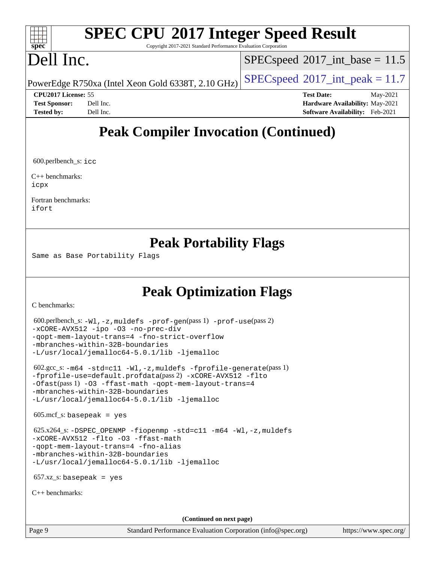# **[SPEC CPU](http://www.spec.org/auto/cpu2017/Docs/result-fields.html#SPECCPU2017IntegerSpeedResult)[2017 Integer Speed Result](http://www.spec.org/auto/cpu2017/Docs/result-fields.html#SPECCPU2017IntegerSpeedResult)**

Copyright 2017-2021 Standard Performance Evaluation Corporation

# Dell Inc.

**[spec](http://www.spec.org/)**

 $+\ +$ 

 $SPECspeed^{\circ}2017\_int\_base = 11.5$  $SPECspeed^{\circ}2017\_int\_base = 11.5$ 

PowerEdge R750xa (Intel Xeon Gold 6338T, 2.10 GHz)  $\left|$  [SPECspeed](http://www.spec.org/auto/cpu2017/Docs/result-fields.html#SPECspeed2017intpeak)®[2017\\_int\\_peak = 1](http://www.spec.org/auto/cpu2017/Docs/result-fields.html#SPECspeed2017intpeak)1.7

**[CPU2017 License:](http://www.spec.org/auto/cpu2017/Docs/result-fields.html#CPU2017License)** 55 **[Test Date:](http://www.spec.org/auto/cpu2017/Docs/result-fields.html#TestDate)** May-2021 **[Test Sponsor:](http://www.spec.org/auto/cpu2017/Docs/result-fields.html#TestSponsor)** Dell Inc. **[Hardware Availability:](http://www.spec.org/auto/cpu2017/Docs/result-fields.html#HardwareAvailability)** May-2021 **[Tested by:](http://www.spec.org/auto/cpu2017/Docs/result-fields.html#Testedby)** Dell Inc. **[Software Availability:](http://www.spec.org/auto/cpu2017/Docs/result-fields.html#SoftwareAvailability)** Feb-2021

### **[Peak Compiler Invocation \(Continued\)](http://www.spec.org/auto/cpu2017/Docs/result-fields.html#PeakCompilerInvocation)**

600.perlbench\_s: [icc](http://www.spec.org/cpu2017/results/res2021q3/cpu2017-20210618-27200.flags.html#user_peakCCLD600_perlbench_s_intel_icc_66fc1ee009f7361af1fbd72ca7dcefbb700085f36577c54f309893dd4ec40d12360134090235512931783d35fd58c0460139e722d5067c5574d8eaf2b3e37e92)

[C++ benchmarks:](http://www.spec.org/auto/cpu2017/Docs/result-fields.html#CXXbenchmarks) [icpx](http://www.spec.org/cpu2017/results/res2021q3/cpu2017-20210618-27200.flags.html#user_CXXpeak_intel_icpx_1e918ed14c436bf4b9b7c8bcdd51d4539fc71b3df010bd1e9f8732d9c34c2b2914e48204a846820f3c0ebb4095dea797a5c30b458ac0b6dffac65d78f781f5ca)

[Fortran benchmarks](http://www.spec.org/auto/cpu2017/Docs/result-fields.html#Fortranbenchmarks): [ifort](http://www.spec.org/cpu2017/results/res2021q3/cpu2017-20210618-27200.flags.html#user_FCpeak_intel_ifort_8111460550e3ca792625aed983ce982f94888b8b503583aa7ba2b8303487b4d8a21a13e7191a45c5fd58ff318f48f9492884d4413fa793fd88dd292cad7027ca)

#### **[Peak Portability Flags](http://www.spec.org/auto/cpu2017/Docs/result-fields.html#PeakPortabilityFlags)**

Same as Base Portability Flags

## **[Peak Optimization Flags](http://www.spec.org/auto/cpu2017/Docs/result-fields.html#PeakOptimizationFlags)**

[C benchmarks](http://www.spec.org/auto/cpu2017/Docs/result-fields.html#Cbenchmarks):

```
 600.perlbench_s: -Wl,-z,muldefs -prof-gen(pass 1) -prof-use(pass 2)
-xCORE-AVX512 -ipo -O3 -no-prec-div
-qopt-mem-layout-trans=4 -fno-strict-overflow
-mbranches-within-32B-boundaries
-L/usr/local/jemalloc64-5.0.1/lib -ljemalloc
 602.gcc_s: -m64 -std=c11 -Wl,-z,muldefs -fprofile-generate(pass 1)
-fprofile-use=default.profdata(pass 2) -xCORE-AVX512 -flto
-Ofast(pass 1) -O3 -ffast-math -qopt-mem-layout-trans=4
-mbranches-within-32B-boundaries
-L/usr/local/jemalloc64-5.0.1/lib -ljemalloc
605 \text{.mcf}\text{-}\mathrm{s}: basepeak = yes
 625.x264_s: -DSPEC_OPENMP -fiopenmp -std=c11 -m64 -Wl,-z,muldefs
-xCORE-AVX512 -flto -O3 -ffast-math
-qopt-mem-layout-trans=4 -fno-alias
-mbranches-within-32B-boundaries
-L/usr/local/jemalloc64-5.0.1/lib -ljemalloc
657.xz_s: basepeak = yes
C++ benchmarks: 
                                       (Continued on next page)
```